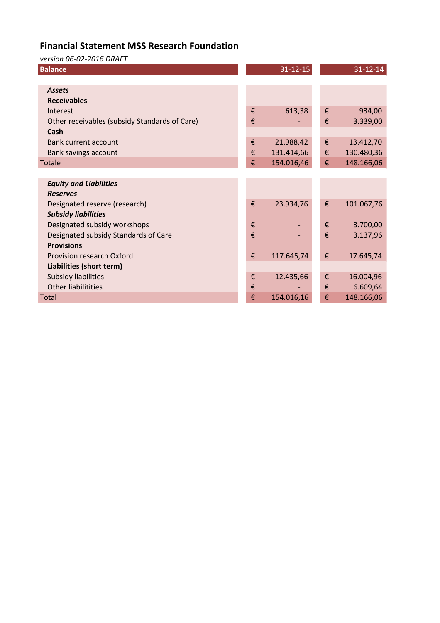## **Financial Statement MSS Research Foundation**

*version 06-02-2016 DRAFT*

| <b>Balance</b>                                |   | $31 - 12 - 15$ |   | $31 - 12 - 14$ |
|-----------------------------------------------|---|----------------|---|----------------|
|                                               |   |                |   |                |
| <b>Assets</b>                                 |   |                |   |                |
| <b>Receivables</b>                            |   |                |   |                |
| Interest                                      | € | 613,38         | € | 934,00         |
| Other receivables (subsidy Standards of Care) | € |                | € | 3.339,00       |
| Cash                                          |   |                |   |                |
| <b>Bank current account</b>                   | € | 21.988,42      | € | 13.412,70      |
| Bank savings account                          | € | 131.414,66     | € | 130.480,36     |
| <b>Totale</b>                                 | € | 154.016,46     | € | 148.166,06     |
|                                               |   |                |   |                |
| <b>Equity and Liabilities</b>                 |   |                |   |                |
| <b>Reserves</b>                               |   |                |   |                |
| Designated reserve (research)                 | € | 23.934,76      | € | 101.067,76     |
| <b>Subsidy liabilities</b>                    |   |                |   |                |
| Designated subsidy workshops                  | € |                | € | 3.700,00       |
| Designated subsidy Standards of Care          | € |                | € | 3.137,96       |
| <b>Provisions</b>                             |   |                |   |                |
| <b>Provision research Oxford</b>              | € | 117.645,74     | € | 17.645,74      |
| Liabilities (short term)                      |   |                |   |                |
| Subsidy liabilities                           | € | 12.435,66      | € | 16.004,96      |
| <b>Other liabilitities</b>                    | € |                | € | 6.609,64       |
| <b>Total</b>                                  | € | 154.016,16     | € | 148.166,06     |